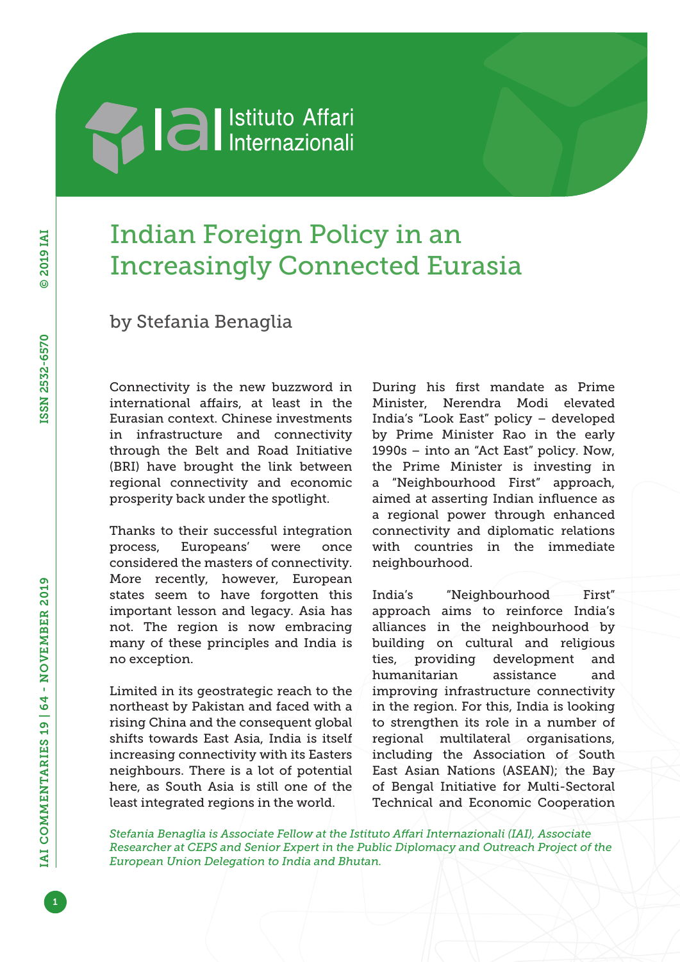## **Machia Al Istituto Affari**

## Indian Foreign Policy in an Increasingly Connected Eurasia

by Stefania Benaglia

Connectivity is the new buzzword in international affairs, at least in the Eurasian context. Chinese investments in infrastructure and connectivity through the Belt and Road Initiative (BRI) have brought the link between regional connectivity and economic prosperity back under the spotlight.

Thanks to their successful integration process, Europeans' were once considered the masters of connectivity. More recently, however, European states seem to have forgotten this important lesson and legacy. Asia has not. The region is now embracing many of these principles and India is no exception.

Limited in its geostrategic reach to the northeast by Pakistan and faced with a rising China and the consequent global shifts towards East Asia, India is itself increasing connectivity with its Easters neighbours. There is a lot of potential here, as South Asia is still one of the least integrated regions in the world.

During his first mandate as Prime Minister, Nerendra Modi elevated India's "Look East" policy – developed by Prime Minister Rao in the early 1990s – into an "Act East" policy. Now, the Prime Minister is investing in a "Neighbourhood First" approach, aimed at asserting Indian influence as a regional power through enhanced connectivity and diplomatic relations with countries in the immediate neighbourhood.

India's "Neighbourhood First" approach aims to reinforce India's alliances in the neighbourhood by building on cultural and religious ties, providing development and humanitarian assistance and improving infrastructure connectivity in the region. For this, India is looking to strengthen its role in a number of regional multilateral organisations, including the Association of South East Asian Nations (ASEAN); the Bay of Bengal Initiative for Multi-Sectoral Technical and Economic Cooperation

*Stefania Benaglia is Associate Fellow at the Istituto Affari Internazionali (IAI), Associate Researcher at CEPS and Senior Expert in the Public Diplomacy and Outreach Project of the European Union Delegation to India and Bhutan.*

1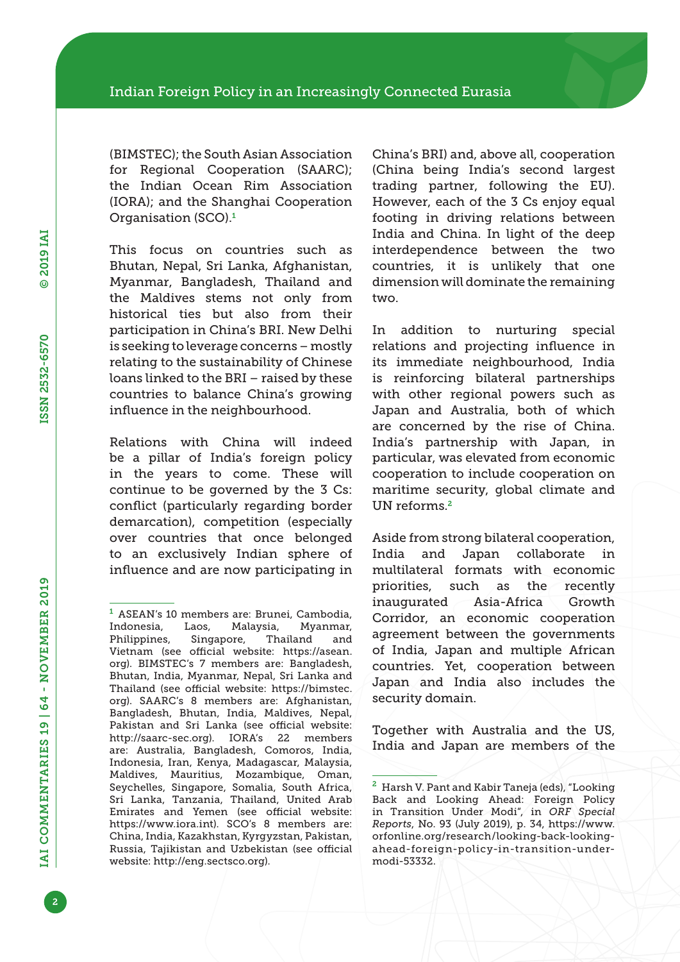(BIMSTEC); the South Asian Association for Regional Cooperation (SAARC); the Indian Ocean Rim Association (IORA); and the Shanghai Cooperation Organisation (SCO).<sup>1</sup>

This focus on countries such as Bhutan, Nepal, Sri Lanka, Afghanistan, Myanmar, Bangladesh, Thailand and the Maldives stems not only from historical ties but also from their participation in China's BRI. New Delhi is seeking to leverage concerns – mostly relating to the sustainability of Chinese loans linked to the BRI – raised by these countries to balance China's growing influence in the neighbourhood.

Relations with China will indeed be a pillar of India's foreign policy in the years to come. These will continue to be governed by the 3 Cs: conflict (particularly regarding border demarcation), competition (especially over countries that once belonged to an exclusively Indian sphere of influence and are now participating in

China's BRI) and, above all, cooperation (China being India's second largest trading partner, following the EU). However, each of the 3 Cs enjoy equal footing in driving relations between India and China. In light of the deep interdependence between the two countries, it is unlikely that one dimension will dominate the remaining two.

In addition to nurturing special relations and projecting influence in its immediate neighbourhood, India is reinforcing bilateral partnerships with other regional powers such as Japan and Australia, both of which are concerned by the rise of China. India's partnership with Japan, in particular, was elevated from economic cooperation to include cooperation on maritime security, global climate and UN reforms.<sup>2</sup>

Aside from strong bilateral cooperation, India and Japan collaborate in multilateral formats with economic priorities, such as the recently inaugurated Asia-Africa Growth Corridor, an economic cooperation agreement between the governments of India, Japan and multiple African countries. Yet, cooperation between Japan and India also includes the security domain.

Together with Australia and the US, India and Japan are members of the

<sup>1</sup> ASEAN's 10 members are: Brunei, Cambodia, Indonesia, Laos, Malaysia, Myanmar, Philippines, Singapore, Thailand and Vietnam (see official website: [https://asean.](https://asean.org) [org\)](https://asean.org). BIMSTEC's 7 members are: Bangladesh, Bhutan, India, Myanmar, Nepal, Sri Lanka and Thailand (see official website: [https://bimstec.](https://bimstec.org) [org\)](https://bimstec.org). SAARC's 8 members are: Afghanistan, Bangladesh, Bhutan, India, Maldives, Nepal, Pakistan and Sri Lanka (see official website: [http://saarc-sec.org\)](http://saarc-sec.org). IORA's 22 members are: Australia, Bangladesh, Comoros, India, Indonesia, Iran, Kenya, Madagascar, Malaysia, Maldives, Mauritius, Mozambique, Oman, Seychelles, Singapore, Somalia, South Africa, Sri Lanka, Tanzania, Thailand, United Arab Emirates and Yemen (see official website: [https://www.iora.int\)](https://www.iora.int). SCO's 8 members are: China, India, Kazakhstan, Kyrgyzstan, Pakistan, Russia, Tajikistan and Uzbekistan (see official website: [http://eng.sectsco.org\)](http://eng.sectsco.org).

<sup>2</sup> Harsh V. Pant and Kabir Taneja (eds), "Looking Back and Looking Ahead: Foreign Policy in Transition Under Modi", in *ORF Special Reports*, No. 93 (July 2019), p. 34, [https://www.](https://www.orfonline.org/research/looking-back-looking-ahead-foreign-policy-in-transition-under-modi-53332) [orfonline.org/research/looking-back-looking](https://www.orfonline.org/research/looking-back-looking-ahead-foreign-policy-in-transition-under-modi-53332)[ahead-foreign-policy-in-transition-under](https://www.orfonline.org/research/looking-back-looking-ahead-foreign-policy-in-transition-under-modi-53332)[modi-53332](https://www.orfonline.org/research/looking-back-looking-ahead-foreign-policy-in-transition-under-modi-53332).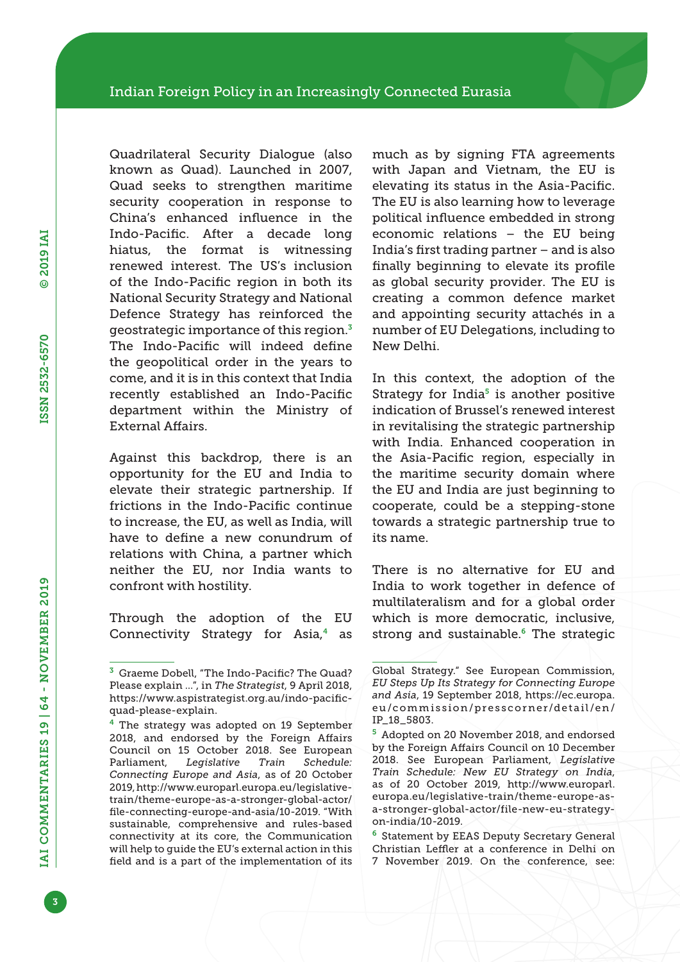Quadrilateral Security Dialogue (also known as Quad). Launched in 2007, Quad seeks to strengthen maritime security cooperation in response to China's enhanced influence in the Indo-Pacific. After a decade long hiatus, the format is witnessing renewed interest. The US's inclusion of the Indo-Pacific region in both its National Security Strategy and National Defence Strategy has reinforced the geostrategic importance of this region.<sup>3</sup> The Indo-Pacific will indeed define the geopolitical order in the years to come, and it is in this context that India recently established an Indo-Pacific department within the Ministry of External Affairs.

Against this backdrop, there is an opportunity for the EU and India to elevate their strategic partnership. If frictions in the Indo-Pacific continue to increase, the EU, as well as India, will have to define a new conundrum of relations with China, a partner which neither the EU, nor India wants to confront with hostility.

Through the adoption of the EU Connectivity Strategy for Asia,<sup>4</sup> as much as by signing FTA agreements with Japan and Vietnam, the EU is elevating its status in the Asia-Pacific. The EU is also learning how to leverage political influence embedded in strong economic relations – the EU being India's first trading partner – and is also finally beginning to elevate its profile as global security provider. The EU is creating a common defence market and appointing security attachés in a number of EU Delegations, including to New Delhi.

In this context, the adoption of the Strategy for India $5$  is another positive indication of Brussel's renewed interest in revitalising the strategic partnership with India. Enhanced cooperation in the Asia-Pacific region, especially in the maritime security domain where the EU and India are just beginning to cooperate, could be a stepping-stone towards a strategic partnership true to its name.

There is no alternative for EU and India to work together in defence of multilateralism and for a global order which is more democratic, inclusive, strong and sustainable.<sup>6</sup> The strategic

<sup>6</sup> Statement by EEAS Deputy Secretary General Christian Leffler at a conference in Delhi on 7 November 2019. On the conference, see:

<sup>3</sup> Graeme Dobell, "The Indo-Pacific? The Quad? Please explain …", in *The Strategist*, 9 April 2018, [https://www.aspistrategist.org.au/indo-pacific](https://www.aspistrategist.org.au/indo-pacific-quad-please-explain)[quad-please-explain](https://www.aspistrategist.org.au/indo-pacific-quad-please-explain).

 $4$  The strategy was adopted on 19 September 2018, and endorsed by the Foreign Affairs Council on 15 October 2018. See European Parliament, *Legislative Train Schedule: Connecting Europe and Asia*, as of 20 October 2019, [http://www.europarl.europa.eu/legislative](http://www.europarl.europa.eu/legislative-train/theme-europe-as-a-stronger-global-actor/file-connecting-europe-and-asia/10-2019)[train/theme-europe-as-a-stronger-global-actor/](http://www.europarl.europa.eu/legislative-train/theme-europe-as-a-stronger-global-actor/file-connecting-europe-and-asia/10-2019) [file-connecting-europe-and-asia/10-2019](http://www.europarl.europa.eu/legislative-train/theme-europe-as-a-stronger-global-actor/file-connecting-europe-and-asia/10-2019). "With sustainable, comprehensive and rules-based connectivity at its core, the Communication will help to guide the EU's external action in this field and is a part of the implementation of its

Global Strategy." See European Commission, *EU Steps Up Its Strategy for Connecting Europe and Asia*, 19 September 2018, [https://ec.europa.](https://ec.europa.eu/commission/presscorner/detail/en/IP_18_5803) [eu/commission/presscorner/detail/en/](https://ec.europa.eu/commission/presscorner/detail/en/IP_18_5803) [IP\\_18\\_5803](https://ec.europa.eu/commission/presscorner/detail/en/IP_18_5803).

<sup>5</sup> Adopted on 20 November 2018, and endorsed by the Foreign Affairs Council on 10 December 2018. See European Parliament, *Legislative Train Schedule: New EU Strategy on India*, as of 20 October 2019, [http://www.europarl.](http://www.europarl.europa.eu/legislative-train/theme-europe-as-a-stronger-global-actor/file-new-eu-strategy-on-india/10-2019) [europa.eu/legislative-train/theme-europe-as](http://www.europarl.europa.eu/legislative-train/theme-europe-as-a-stronger-global-actor/file-new-eu-strategy-on-india/10-2019)[a-stronger-global-actor/file-new-eu-strategy](http://www.europarl.europa.eu/legislative-train/theme-europe-as-a-stronger-global-actor/file-new-eu-strategy-on-india/10-2019)[on-india/10-2019](http://www.europarl.europa.eu/legislative-train/theme-europe-as-a-stronger-global-actor/file-new-eu-strategy-on-india/10-2019).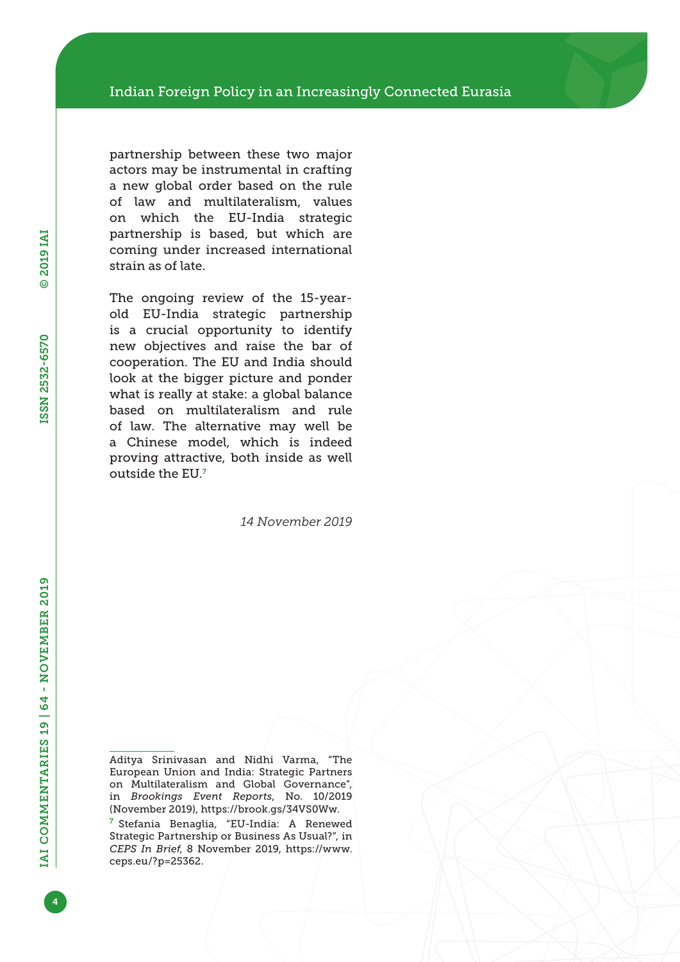partnership between these two major actors may be instrumental in crafting a new global order based on the rule of law and multilateralism, values on which the EU-India strategic partnership is based, but which are coming under increased international strain as of late.

The ongoing review of the 15-yearold EU-India strategic partnership is a crucial opportunity to identify new objectives and raise the bar of cooperation. The EU and India should look at the bigger picture and ponder what is really at stake: a global balance based on multilateralism and rule of law. The alternative may well be a Chinese model, which is indeed proving attractive, both inside as well outside the EU.<sup>7</sup>

*14 November 2019*

Aditya Srinivasan and Nidhi Varma, "The European Union and India: Strategic Partners on Multilateralism and Global Governance", in *Brookings Event Reports*, No. 10/2019 (November 2019), <https://brook.gs/34VS0Ww>.

<sup>7</sup> Stefania Benaglia, "EU-India: A Renewed Strategic Partnership or Business As Usual?", in *CEPS In Brief*, 8 November 2019, [https://www.](https://www.ceps.eu/?p=25362) [ceps.eu/?p=25362.](https://www.ceps.eu/?p=25362)

4